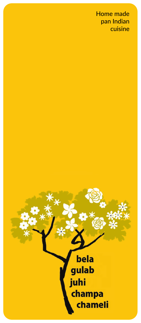#### Home made pan Indian cuisine

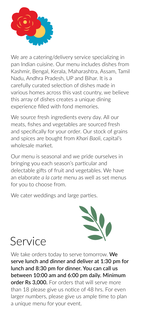

We are a catering/delivery service specializing in pan Indian cuisine. Our menu includes dishes from Kashmir, Bengal, Kerala, Maharashtra, Assam, Tamil Nadu, Andhra Pradesh, UP and Bihar. It is a carefully curated selection of dishes made in various homes across this vast country, we believe this array of dishes creates a unique dining experience filled with fond memories.

We source fresh ingredients every day. All our meats, fishes and vegetables are sourced fresh and specifically for your order. Our stock of grains and spices are bought from *Khari Baoli*, capital's wholesale market.

Our menu is seasonal and we pride ourselves in bringing you each season's particular and delectable gifts of fruit and vegetables. We have an elaborate *a la carte* menu as well as set menus for you to choose from.

We cater weddings and large parties.



## Service

We take orders today to serve tomorrow. We serve lunch and dinner and deliver at 1:30 pm for lunch and 8:30 pm for dinner. You can call us between 10:00 am and 6:00 pm daily. Minimum order Rs 3,000. For orders that will serve more than 18 please give us notice of 48 hrs. For even larger numbers, please give us ample time to plan a unique menu for your event.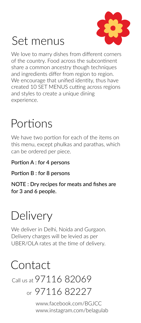

# Set menus

We love to marry dishes from different corners of the country. Food across the subcontinent share a common ancestry though techniques and ingredients differ from region to region. We encourage that unified identity, thus have created 10 SET MENUS cutting across regions and styles to create a unique dining experience.

# Portions

We have two portion for each of the items on this menu, except phulkas and parathas, which can be ordered per piece.

#### Portion A : for 4 persons

Portion B : for 8 persons

NOTE : Dry recipes for meats and fishes are for 3 and 6 people.

# **Delivery**

We deliver in Delhi, Noida and Gurgaon. Delivery charges will be levied as per UBER/OLA rates at the time of delivery.

### Contact

### Call us at 97116 82069

### or 97116 82227

www.facebook.com/BGJCC www.instagram.com/belagulab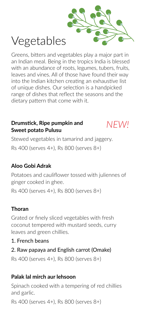# Vegetables

Greens, bitters and vegetables play a major part in an Indian meal. Being in the tropics India is blessed with an abundance of roots, legumes, tubers, fruits, leaves and vines. All of those have found their way into the Indian kitchen creating an exhaustive list of unique dishes. Our selection is a handpicked range of dishes that reflect the seasons and the dietary pattern that come with it.

#### **Drumstick, Ripe pumpkin and Sweet potato Pulusu**

*NEW!*

Stewed vegetables in tamarind and jaggery. Rs 400 (serves 4+), Rs 800 (serves 8+)

#### **Aloo Gobi Adrak**

Potatoes and cauliflower tossed with juliennes of ginger cooked in ghee.

Rs 400 (serves 4+), Rs 800 (serves 8+)

#### **Thoran**

Grated or finely sliced vegetables with fresh coconut tempered with mustard seeds, curry leaves and green chillies.

#### 1. French beans

#### 2. Raw papaya and English carrot (Omake)

Rs 400 (serves 4+), Rs 800 (serves 8+)

#### **Palak lal mirch aur lehsoon**

Spinach cooked with a tempering of red chillies and garlic.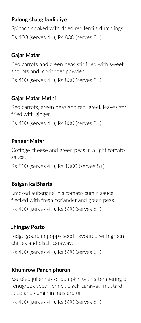#### **Palong shaag bodi diye**

Spinach cooked with dried red lentils dumplings. Rs 400 (serves 4+), Rs 800 (serves 8+)

#### **Gajar Matar**

Red carrots and green peas stir fried with sweet shallots and coriander powder. Rs 400 (serves 4+), Rs 800 (serves 8+)

#### **Gajar Matar Methi**

Red carrots, green peas and fenugreek leaves stir fried with ginger.

Rs 400 (serves 4+), Rs 800 (serves 8+)

#### **Paneer Matar**

Cottage cheese and green peas in a light tomato sauce.

Rs 500 (serves 4+), Rs 1000 (serves 8+)

#### **Baigan ka Bharta**

Smoked aubergine in a tomato cumin sauce flecked with fresh coriander and green peas. Rs 400 (serves 4+), Rs 800 (serves 8+)

#### **Jhingay Posto**

Ridge gourd in poppy seed flavoured with green chillies and black-caraway.

Rs 400 (serves 4+), Rs 800 (serves 8+)

#### **Khumrow Panch phoron**

Sautéed juliennes of pumpkin with a tempering of fenugreek seed, fennel, black-caraway, mustard seed and cumin in mustard oil.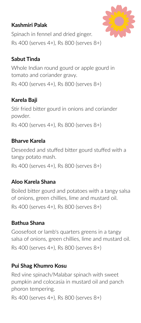

#### **Kashmiri Palak**

Spinach in fennel and dried ginger. Rs 400 (serves 4+), Rs 800 (serves 8+)

#### **Sabut Tinda**

Whole Indian round gourd or apple gourd in tomato and coriander gravy. Rs 400 (serves 4+), Rs 800 (serves 8+)

#### **Karela Baji**

Stir fried bitter gourd in onions and coriander powder. Rs 400 (serves 4+), Rs 800 (serves 8+)

#### **Bharve Karela**

Deseeded and stuffed bitter gourd stuffed with a tangy potato mash.

Rs 400 (serves 4+), Rs 800 (serves 8+)

#### **Aloo Karela Shana**

Boiled bitter gourd and potatoes with a tangy salsa of onions, green chillies, lime and mustard oil.

Rs 400 (serves 4+), Rs 800 (serves 8+)

#### **Bathua Shana**

Goosefoot or lamb's quarters greens in a tangy salsa of onions, green chillies, lime and mustard oil. Rs 400 (serves 4+), Rs 800 (serves 8+)

#### **Pui Shag Khumro Kosu**

Red vine spinach/Malabar spinach with sweet pumpkin and colocasia in mustard oil and panch phoron tempering.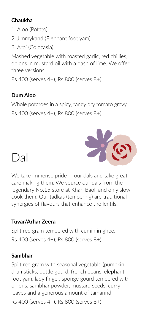#### **Chaukha**

1. Aloo (Potato)

2. Jimmykand (Elephant foot yam)

3. Arbi (Colocasia)

Mashed vegetable with roasted garlic, red chillies, onions in mustard oil with a dash of lime. We offer three versions.

Rs 400 (serves 4+), Rs 800 (serves 8+)

#### **Dum Aloo**

Dal

Whole potatoes in a spicy, tangy dry tomato gravy. Rs 400 (serves 4+), Rs 800 (serves 8+)



We take immense pride in our dals and take great care making them. We source our dals from the legendary No.15 store at Khari Baoli and only slow cook them. Our tadkas (tempering) are traditional synergies of flavours that enhance the lentils.

#### **Tuvar/Arhar Zeera**

Split red gram tempered with cumin in ghee. Rs 400 (serves 4+), Rs 800 (serves 8+)

#### **Sambhar**

Spilt red gram with seasonal vegetable (pumpkin, drumsticks, bottle gourd, french beans, elephant foot yam, lady finger, sponge gourd tempered with onions, sambhar powder, mustard seeds, curry leaves and a generous amount of tamarind. Rs 400 (serves 4+), Rs 800 (serves 8+)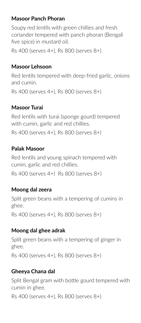#### **Masoor Panch Phoran**

Soupy red lentils with green chillies and fresh coriander tempered with panch phoran (Bengali five spice) in mustard oil.

Rs 400 (serves 4+), Rs 800 (serves 8+)

#### **Masoor Lehsoon**

Red lentils tempered with deep-fried garlic, onions and cumin.

Rs 400 (serves 4+), Rs 800 (serves 8+)

#### **Masoor Turai**

Red lentils with turai (sponge gourd) tempered with cumin, garlic and red chillies.

Rs 400 (serves 4+), Rs 800 (serves 8+)

#### **Palak Masoor**

Red lentils and young spinach tempered with cumin, garlic and red chillies.

Rs 400 (serves 4+) Rs 800 (serves 8+)

#### **Moong dal zeera**

Split green beans with a tempering of cumins in ghee.

Rs 400 (serves 4+), Rs 800 (serves 8+)

#### **Moong dal ghee adrak**

Split green beans with a tempering of ginger in ghee.

Rs 400 (serves 4+), Rs 800 (serves 8+)

#### **Gheeya Chana dal**

Split Bengal gram with bottle gourd tempered with cumin in ghee.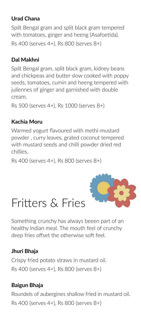#### **Urad Chana**

Spilt Bengal gram and split black gram tempered with tomatoes, ginger and heeng (Asafoetida). Rs 400 (serves 4+), Rs 800 (serves 8+)

#### **Dal Makhni**

Spilt Bengal gram, split black gram, kidney beans and chickpeas and butter slow cooked with poppy seeds, tomatoes, cumin and heeng tempered with juliennes of ginger and garnished with double cream.

Rs 500 (serves 4+), Rs 1000 (serves 8+)

#### **Kachia Moru**

Warmed yogurt flavoured with methi-mustard powder , curry leaves, grated coconut tempered with mustard seeds and chilli powder dried red chillies.

Rs 400 (serves 4+), Rs 800 (serves 8+)





Something crunchy has always beeen part of an healthy Indian meal. The mouth feel of crunchy deep fries offset the otherwise soft feel.

#### **Jhuri Bhaja**

Crispy fried potato straws in mustard oil. Rs 400 (serves 4+), Rs 800 (serves 8+)

#### **Baigun Bhaja**

Roundels of aubergines shallow fried in mustard oil. Rs 400 (serves 4+), Rs 800 (serves 8+)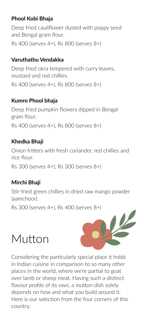#### **Phool Kobi Bhaja**

Deep fried cauliflower dusted with poppy seed and Bengal gram flour. Rs 400 (serves 4+), Rs 800 (serves 8+)

#### **Varuthathu Vendakka**

Deep fried okra tempered with curry leaves, mustard and red chillies. Rs 400 (serves 4+), Rs 800 (serves 8+)

#### **Kumro Phool bhaja**

Deep fried pumpkin flowers dipped in Bengal gram flour. Rs 400 (serves 4+), Rs 800 (serves 8+)

#### **Khedka Bhaji**

Onion fritters with fresh coriander, red chillies and rice flour.

Rs 300 (serves 4+), Rs 300 (serves 8+)

#### **Mirchi Bhaji**

Stir-fried green chillies in dried raw mango powder (aamchoor).

Rs 300 (serves 4+), Rs 400 (serves 8+)

### Mutton

Considering the particularly special place it holds in Indian cuisine in comparison to so many other places in the world, where we're partial to goat over lamb or sheep meat. Having such a distinct flavour profile of its own, a mutton dish solely depends on how and what you build around it. Here is our selection from the four corners of this country.

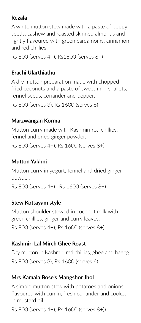#### **Rezala**

A white mutton stew made with a paste of poppy seeds, cashew and roasted skinned almonds and lightly flavoured with green cardamoms, cinnamon and red chillies.

Rs 800 (serves 4+), Rs1600 (serves 8+)

#### **Erachi Ularthiathu**

A dry mutton preparation made with chopped fried coconuts and a paste of sweet mini shallots, fennel seeds, coriander and pepper.

Rs 800 (serves 3), Rs 1600 (serves 6)

#### **Marzwangan Korma**

Mutton curry made with Kashmiri red chillies, fennel and dried ginger powder.

Rs 800 (serves 4+), Rs 1600 (serves 8+)

#### **Mutton Yakhni**

Mutton curry in yogurt, fennel and dried ginger powder.

Rs 800 (serves 4+) , Rs 1600 (serves 8+)

#### **Stew Kottayam style**

Mutton shoulder stewed in coconut milk with green chillies, ginger and curry leaves. Rs 800 (serves 4+), Rs 1600 (serves 8+)

#### **Kashmiri Lal Mirch Ghee Roast**

Dry mutton in Kashmiri red chillies, ghee and heeng. Rs 800 (serves 3), Rs 1600 (serves 6)

#### **Mrs Kamala Bose's Mangshor Jhol**

A simple mutton stew with potatoes and onions flavoured with cumin, fresh coriander and cooked in mustard oil.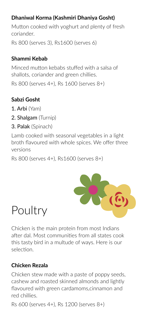#### **Dhaniwal Korma (Kashmiri Dhaniya Gosht)**

Mutton cooked with yoghurt and plenty of fresh coriander.

Rs 800 (serves 3), Rs1600 (serves 6)

#### **Shammi Kebab**

Minced mutton kebabs stuffed with a salsa of shallots, coriander and green chillies. Rs 800 (serves 4+), Rs 1600 (serves 8+)

#### **Sabzi Gosht**

1. Arbi (Yam)

- 2. Shalgam (Turnip)
- 3. Palak (Spinach)

Lamb cooked with seasonal vegetables in a light broth flavoured with whole spices. We offer three versions

Rs 800 (serves 4+), Rs1600 (serves 8+)



### Poultry

Chicken is the main protein from most Indians after dal. Most communities from all states cook this tasty bird in a multude of ways. Here is our selection.

#### **Chicken Rezala**

Chicken stew made with a paste of poppy seeds, cashew and roasted skinned almonds and lightly flavoured with green cardamoms,cinnamon and red chillies.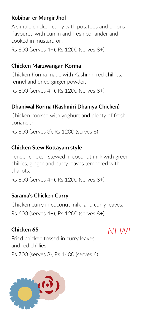#### **Robibar-er Murgir Jhol**

A simple chicken curry with potatoes and onions flavoured with cumin and fresh coriander and cooked in mustard oil.

Rs 600 (serves 4+), Rs 1200 (serves 8+)

#### **Chicken Marzwangan Korma**

Chicken Korma made with Kashmiri red chillies, fennel and dried ginger powder. Rs 600 (serves 4+), Rs 1200 (serves 8+)

#### **Dhaniwal Korma (Kashmiri Dhaniya Chicken)**

Chicken cooked with yoghurt and plenty of fresh coriander.

Rs 600 (serves 3), Rs 1200 (serves 6)

#### **Chicken Stew Kottayam style**

Tender chicken stewed in coconut milk with green chillies, ginger and curry leaves tempered with shallots.

Rs 600 (serves 4+), Rs 1200 (serves 8+)

#### **Sarama's Chicken Curry**

Chicken curry in coconut milk and curry leaves.

Rs 600 (serves 4+), Rs 1200 (serves 8+)

#### **Chicken 65**

### *NEW!*

Fried chicken tossed in curry leaves and red chillies.

Rs 700 (serves 3), Rs 1400 (serves 6)

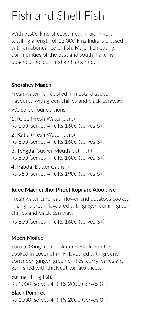# Fish and Shell Fish

With 7,500 kms of coastline, 7 major rivers totalling a length of 12,000 kms India is blessed with an abundance of fish. Major fish eating communities of the east and south make fish poached, boiled, fried and steamed.

#### **Shorshey Maach**

Fresh water fish cooked in mustard sauce flavoured with green chillies and black-caraway. We serve four versions. 1. Ruee (Fresh Water Carp) Rs 800 (serves 4+), Rs 1600 (serves 8+) 2. Katla (Fresh Water Carp) Rs 800 (serves 4+), Rs 1600 (serves 8+) 3. Tengda (Sucker Mouth Cat Fish) Rs 800 (serves 4+), Rs 1600 (serves 8+) 4. Pabda (Butter Catfish) Rs 950 (serves 4+), Rs 1900 (serves 8+)

#### **Ruee Macher Jhol Phool Kopi are Aloo diye**

Fresh water carp, cauliflower and potatoes cooked in a light broth flavoured with ginger, cumin, green chillies and black-caraway.

Rs 800 (serves 4+), Rs 1600 (serves 8+)

#### **Meen Moilee**

Surmai (King fish) or skinned Black Pomfret cooked in coconut milk flavoured with ground coriander, ginger, green chillies, curry leaves and garnished with thick cut tomato slices.

**Surmai** (King fish) Rs 1000 (serves 4+), Rs 2000 (serves 8+)

#### Black Pomfret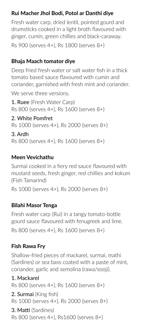#### **Rui Macher Jhol Bodi, Potol ar Danthi diye**

Fresh water carp, dried lentil, pointed gourd and drumsticks cooked in a light broth flavoured with ginger, cumin, green chillies and black-caraway. Rs 900 (serves 4+), Rs 1800 (serves 8+)

#### **Bhaja Maach tomator diye**

Deep fried fresh water or salt water fish in a thick tomato based sauce flavoured with cumin and coriander, garnished with fresh mint and coriander.

We serve three versions.

1. Ruee (Fresh Water Carp) Rs 800 (serves 4+), Rs 1600 (serves 8+)

2. White Pomfret Rs 1000 (serves 4+), Rs 2000 (serves 8+)

3. Ardh Rs 800 (serves 4+), Rs 1600 (serves 8+)

#### **Meen Vevichathu**

Surmai cooked in a fiery red sauce flavoured with mustard seeds, fresh ginger, red chillies and kokum (Fish Tamarind)

Rs 1000 (serves 4+), Rs 2000 (serves 8+)

#### **Bilahi Masor Tenga**

Fresh water carp (Rui) in a tangy tomato-bottle gourd sauce flavoured with fenugreek and lime. Rs 800 (serves 4+), Rs 1600 (serves 8+)

#### **Fish Rawa Fry**

Shallow-fried pieces of mackarel, surmai, mathi (Sardines) or sea bass coated with a paste of mint, coriander, garlic and semolina (rawa/sooji).

#### 1. Mackarel

Rs 800 (serves 4+), Rs 1600 (serves 8+)

2. Surmai (King fish) Rs 1000 (serves 4+), Rs 2000 (serves 8+) 3. Matti (Sardines)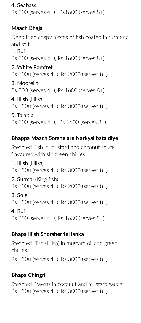4. Seabass

Rs 800 (serves 4+) , Rs1600 (serves 8+)

#### **Maach Bhaja**

Deep fried crispy pieces of fish coated in turmeric and salt.

1. Rui Rs 800 (serves 4+), Rs 1600 (serves 8+)

2. White Pomfret Rs 1000 (serves 4+), Rs 2000 (serves 8+)

3. Moorella Rs 800 (serves 4+), Rs 1600 (serves 8+) 4. Illish (Hilsa) Rs 1500 (serves 4+), Rs 3000 (serves 8+) 5. Talapia

Rs 800 (serves 4+), Rs 1600 (serves 8+)

#### **Bhappa Maach Sorshe are Narkyal bata diye**

Steamed Fish in mustard and coconut sauce flavoured with slit green chillies.

1. Illish (Hilsa) Rs 1500 (serves 4+), Rs 3000 (serves 8+) 2. Surmai (King fish) Rs 1000 (serves 4+), Rs 2000 (serves 8+) 3. Sole

Rs 1500 (serves 4+), Rs 3000 (serves 8+)

4. Rui

Rs 800 (serves 4+), Rs 1600 (serves 8+)

#### **Bhapa Illish Shorsher tel lanka**

Steamed Iilish (Hilsa) in mustard oil and green chillies.

Rs 1500 (serves 4+), Rs 3000 (serves 8+)

#### **Bhapa Chingri**

Steamed Prawns in coconut and mustard sauce Rs 1500 (serves 4+), Rs 3000 (serves 8+)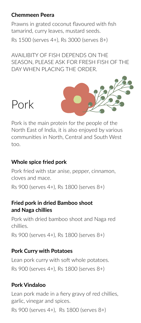#### **Chemmeen Peera**

Prawns in grated coconut flavoured with fish tamarind, curry leaves, mustard seeds. Rs 1500 (serves 4+), Rs 3000 (serves 8+)

AVAILIBITY OF FISH DEPENDS ON THE SEASON, PLEASE ASK FOR FRESH FISH OF THE DAY WHEN PLACING THE ORDER.



### Pork

Pork is the main protein for the people of the North East of India, it is also enjoyed by various communities in North, Central and South West too.

#### **Whole spice fried pork**

Pork fried with star anise, pepper, cinnamon, cloves and mace.

Rs 900 (serves 4+), Rs 1800 (serves 8+)

#### **Fried pork in dried Bamboo shoot and Naga chillies**

Pork with dried bamboo shoot and Naga red chillies.

Rs 900 (serves 4+), Rs 1800 (serves 8+)

#### **Pork Curry with Potatoes**

Lean pork curry with soft whole potatoes. Rs 900 (serves 4+), Rs 1800 (serves 8+)

#### **Pork Vindaloo**

Lean pork made in a fiery gravy of red chillies, garlic, vinegar and spices.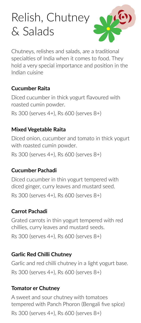# Relish, Chutney & Salads



Chutneys, relishes and salads, are a traditional specialties of India when it comes to food. They hold a very special importance and position in the Indian cuisine

#### **Cucumber Raita**

Diced cucumber in thick yogurt flavoured with roasted cumin powder.

Rs 300 (serves 4+), Rs 600 (serves 8+)

#### **Mixed Vegetable Raita**

Diced onion, cucumber and tomato in thick yogurt with roasted cumin powder.

Rs 300 (serves 4+), Rs 600 (serves 8+)

#### **Cucumber Pachadi**

Diced cucumber in thin yogurt tempered with diced ginger, curry leaves and mustard seed. Rs 300 (serves 4+), Rs 600 (serves 8+)

#### **Carrot Pachadi**

Grated carrots in thin yogurt tempered with red chillies, curry leaves and mustard seeds.

Rs 300 (serves 4+), Rs 600 (serves 8+)

#### **Garlic Red Chilli Chutney**

Garlic and red chilli chutney in a light yogurt base. Rs 300 (serves 4+), Rs 600 (serves 8+)

#### **Tomator er Chutney**

A sweet and sour chutney with tomatoes tempered with Panch Phoron (Bengali five spice) Rs 300 (serves 4+), Rs 600 (serves 8+)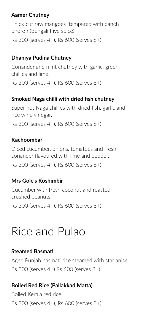#### **Aamer Chutney**

Thick-cut raw mangoes tempered with panch phoron (Bengali Five spice). Rs 300 (serves 4+), Rs 600 (serves 8+)

#### **Dhaniya Pudina Chutney**

Coriander and mint chutney with garlic, green chillies and lime.

Rs 300 (serves 4+), Rs 600 (serves 8+)

#### **Smoked Naga chilli with dried fish chutney**

Super hot Naga chillies with dried fish, garlic and rice wine vinegar.

Rs 300 (serves 4+), Rs 600 (serves 8+)

#### **Kachoombar**

Diced cucumber, onions, tomatoes and fresh coriander flavoured with lime and pepper. Rs 300 (serves 4+), Rs 600 (serves 8+)

#### **Mrs Gole's Koshimbir**

Cucumber with fresh coconut and roasted crushed peanuts.

Rs 300 (serves 4+), Rs 600 (serves 8+)

## Rice and Pulao

#### **Steamed Basmati**

Aged Punjab basmati rice steamed with star anise. Rs 300 (serves 4+) Rs 600 (serves 8+)

#### **Boiled Red Rice (Pallakkad Matta)**

Boiled Kerala red rice. Rs 300 (serves 4+), Rs 600 (serves 8+)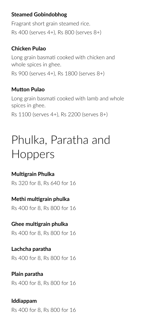#### **Steamed Gobindobhog**

Fragrant short grain steamed rice. Rs 400 (serves 4+), Rs 800 (serves 8+)

#### **Chicken Pulao**

Long grain basmati cooked with chicken and whole spices in ghee. Rs 900 (serves 4+), Rs 1800 (serves 8+)

#### **Mutton Pulao**

Long grain basmati cooked with lamb and whole spices in ghee.

Rs 1100 (serves 4+), Rs 2200 (serves 8+)

## Phulka, Paratha and **Hoppers**

#### **Multigrain Phulka**

Rs 320 for 8, Rs 640 for 16

#### **Methi multigrain phulka** Rs 400 for 8, Rs 800 for 16

### **Ghee multigrain phulka**

Rs 400 for 8, Rs 800 for 16

#### **Lachcha paratha**

Rs 400 for 8, Rs 800 for 16

#### **Plain paratha** Rs 400 for 8, Rs 800 for 16

#### **Iddiappam** Rs 400 for 8, Rs 800 for 16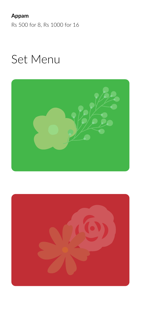#### **Appam**

Rs 500 for 8, Rs 1000 for 16

### Set Menu



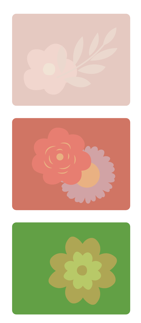